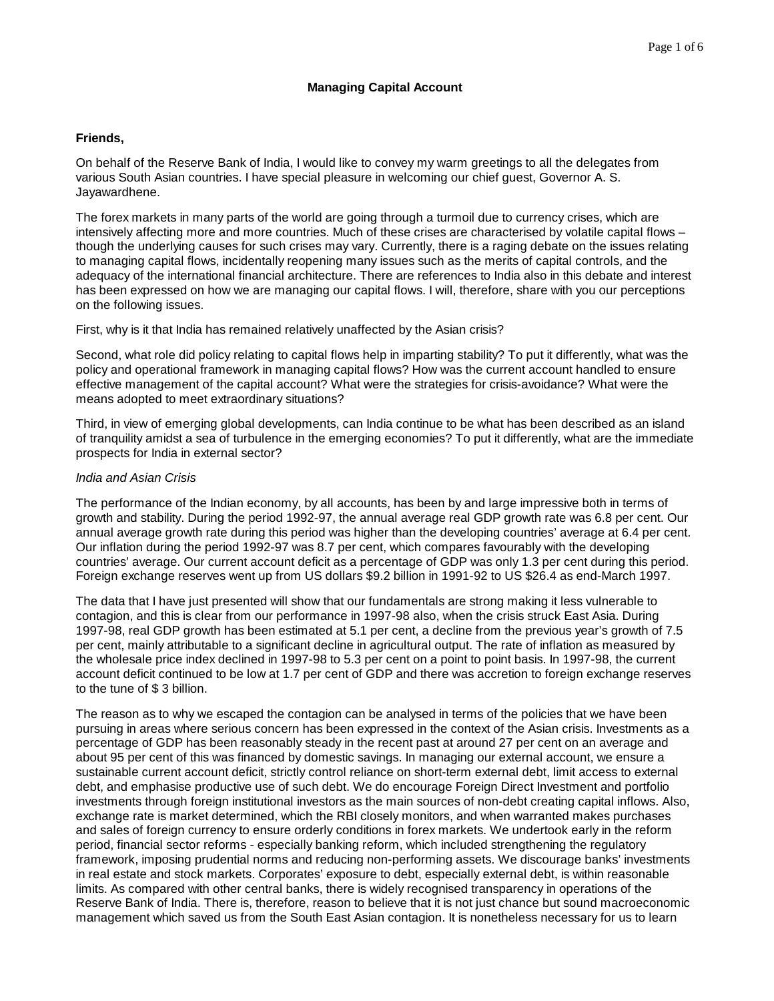# **Friends,**

On behalf of the Reserve Bank of India, I would like to convey my warm greetings to all the delegates from various South Asian countries. I have special pleasure in welcoming our chief guest, Governor A. S. Jayawardhene.

The forex markets in many parts of the world are going through a turmoil due to currency crises, which are intensively affecting more and more countries. Much of these crises are characterised by volatile capital flows – though the underlying causes for such crises may vary. Currently, there is a raging debate on the issues relating to managing capital flows, incidentally reopening many issues such as the merits of capital controls, and the adequacy of the international financial architecture. There are references to India also in this debate and interest has been expressed on how we are managing our capital flows. I will, therefore, share with you our perceptions on the following issues.

First, why is it that India has remained relatively unaffected by the Asian crisis?

Second, what role did policy relating to capital flows help in imparting stability? To put it differently, what was the policy and operational framework in managing capital flows? How was the current account handled to ensure effective management of the capital account? What were the strategies for crisis-avoidance? What were the means adopted to meet extraordinary situations?

Third, in view of emerging global developments, can India continue to be what has been described as an island of tranquility amidst a sea of turbulence in the emerging economies? To put it differently, what are the immediate prospects for India in external sector?

# *India and Asian Crisis*

The performance of the Indian economy, by all accounts, has been by and large impressive both in terms of growth and stability. During the period 1992-97, the annual average real GDP growth rate was 6.8 per cent. Our annual average growth rate during this period was higher than the developing countries' average at 6.4 per cent. Our inflation during the period 1992-97 was 8.7 per cent, which compares favourably with the developing countries' average. Our current account deficit as a percentage of GDP was only 1.3 per cent during this period. Foreign exchange reserves went up from US dollars \$9.2 billion in 1991-92 to US \$26.4 as end-March 1997.

The data that I have just presented will show that our fundamentals are strong making it less vulnerable to contagion, and this is clear from our performance in 1997-98 also, when the crisis struck East Asia. During 1997-98, real GDP growth has been estimated at 5.1 per cent, a decline from the previous year's growth of 7.5 per cent, mainly attributable to a significant decline in agricultural output. The rate of inflation as measured by the wholesale price index declined in 1997-98 to 5.3 per cent on a point to point basis. In 1997-98, the current account deficit continued to be low at 1.7 per cent of GDP and there was accretion to foreign exchange reserves to the tune of \$ 3 billion.

The reason as to why we escaped the contagion can be analysed in terms of the policies that we have been pursuing in areas where serious concern has been expressed in the context of the Asian crisis. Investments as a percentage of GDP has been reasonably steady in the recent past at around 27 per cent on an average and about 95 per cent of this was financed by domestic savings. In managing our external account, we ensure a sustainable current account deficit, strictly control reliance on short-term external debt, limit access to external debt, and emphasise productive use of such debt. We do encourage Foreign Direct Investment and portfolio investments through foreign institutional investors as the main sources of non-debt creating capital inflows. Also, exchange rate is market determined, which the RBI closely monitors, and when warranted makes purchases and sales of foreign currency to ensure orderly conditions in forex markets. We undertook early in the reform period, financial sector reforms - especially banking reform, which included strengthening the regulatory framework, imposing prudential norms and reducing non-performing assets. We discourage banks' investments in real estate and stock markets. Corporates' exposure to debt, especially external debt, is within reasonable limits. As compared with other central banks, there is widely recognised transparency in operations of the Reserve Bank of India. There is, therefore, reason to believe that it is not just chance but sound macroeconomic management which saved us from the South East Asian contagion. It is nonetheless necessary for us to learn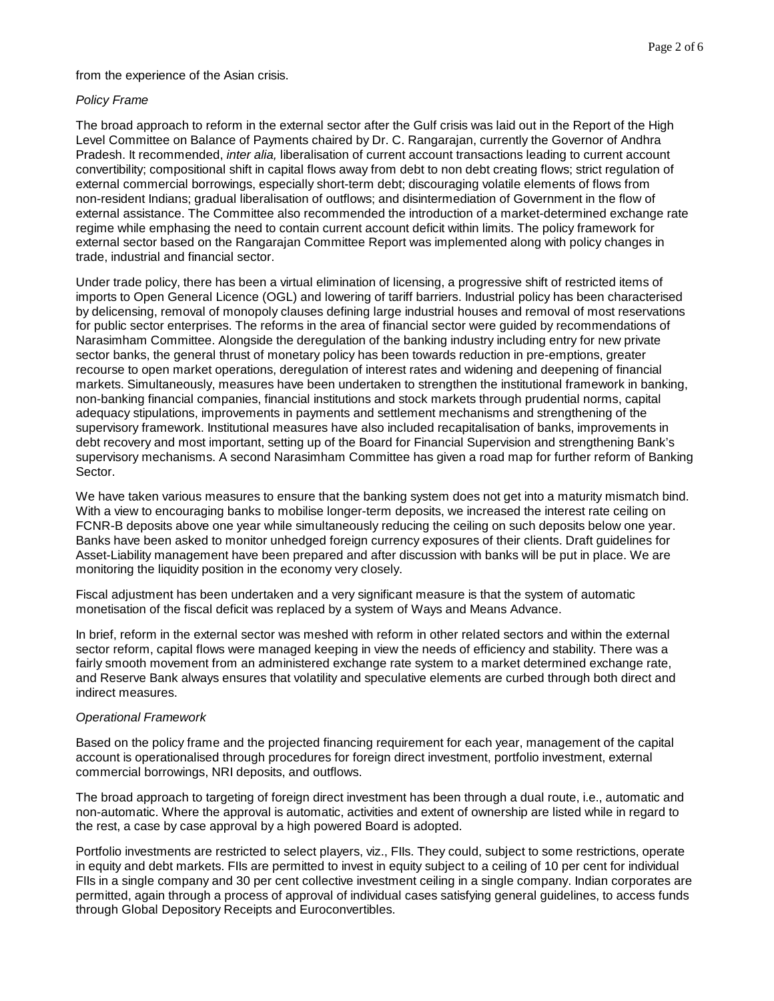from the experience of the Asian crisis.

#### *Policy Frame*

The broad approach to reform in the external sector after the Gulf crisis was laid out in the Report of the High Level Committee on Balance of Payments chaired by Dr. C. Rangarajan, currently the Governor of Andhra Pradesh. It recommended, *inter alia,* liberalisation of current account transactions leading to current account convertibility; compositional shift in capital flows away from debt to non debt creating flows; strict regulation of external commercial borrowings, especially short-term debt; discouraging volatile elements of flows from non-resident Indians; gradual liberalisation of outflows; and disintermediation of Government in the flow of external assistance. The Committee also recommended the introduction of a market-determined exchange rate regime while emphasing the need to contain current account deficit within limits. The policy framework for external sector based on the Rangarajan Committee Report was implemented along with policy changes in trade, industrial and financial sector.

Under trade policy, there has been a virtual elimination of licensing, a progressive shift of restricted items of imports to Open General Licence (OGL) and lowering of tariff barriers. Industrial policy has been characterised by delicensing, removal of monopoly clauses defining large industrial houses and removal of most reservations for public sector enterprises. The reforms in the area of financial sector were guided by recommendations of Narasimham Committee. Alongside the deregulation of the banking industry including entry for new private sector banks, the general thrust of monetary policy has been towards reduction in pre-emptions, greater recourse to open market operations, deregulation of interest rates and widening and deepening of financial markets. Simultaneously, measures have been undertaken to strengthen the institutional framework in banking, non-banking financial companies, financial institutions and stock markets through prudential norms, capital adequacy stipulations, improvements in payments and settlement mechanisms and strengthening of the supervisory framework. Institutional measures have also included recapitalisation of banks, improvements in debt recovery and most important, setting up of the Board for Financial Supervision and strengthening Bank's supervisory mechanisms. A second Narasimham Committee has given a road map for further reform of Banking Sector.

We have taken various measures to ensure that the banking system does not get into a maturity mismatch bind. With a view to encouraging banks to mobilise longer-term deposits, we increased the interest rate ceiling on FCNR-B deposits above one year while simultaneously reducing the ceiling on such deposits below one year. Banks have been asked to monitor unhedged foreign currency exposures of their clients. Draft guidelines for Asset-Liability management have been prepared and after discussion with banks will be put in place. We are monitoring the liquidity position in the economy very closely.

Fiscal adjustment has been undertaken and a very significant measure is that the system of automatic monetisation of the fiscal deficit was replaced by a system of Ways and Means Advance.

In brief, reform in the external sector was meshed with reform in other related sectors and within the external sector reform, capital flows were managed keeping in view the needs of efficiency and stability. There was a fairly smooth movement from an administered exchange rate system to a market determined exchange rate, and Reserve Bank always ensures that volatility and speculative elements are curbed through both direct and indirect measures.

#### *Operational Framework*

Based on the policy frame and the projected financing requirement for each year, management of the capital account is operationalised through procedures for foreign direct investment, portfolio investment, external commercial borrowings, NRI deposits, and outflows.

The broad approach to targeting of foreign direct investment has been through a dual route, i.e., automatic and non-automatic. Where the approval is automatic, activities and extent of ownership are listed while in regard to the rest, a case by case approval by a high powered Board is adopted.

Portfolio investments are restricted to select players, viz., FIIs. They could, subject to some restrictions, operate in equity and debt markets. FIIs are permitted to invest in equity subject to a ceiling of 10 per cent for individual FIIs in a single company and 30 per cent collective investment ceiling in a single company. Indian corporates are permitted, again through a process of approval of individual cases satisfying general guidelines, to access funds through Global Depository Receipts and Euroconvertibles.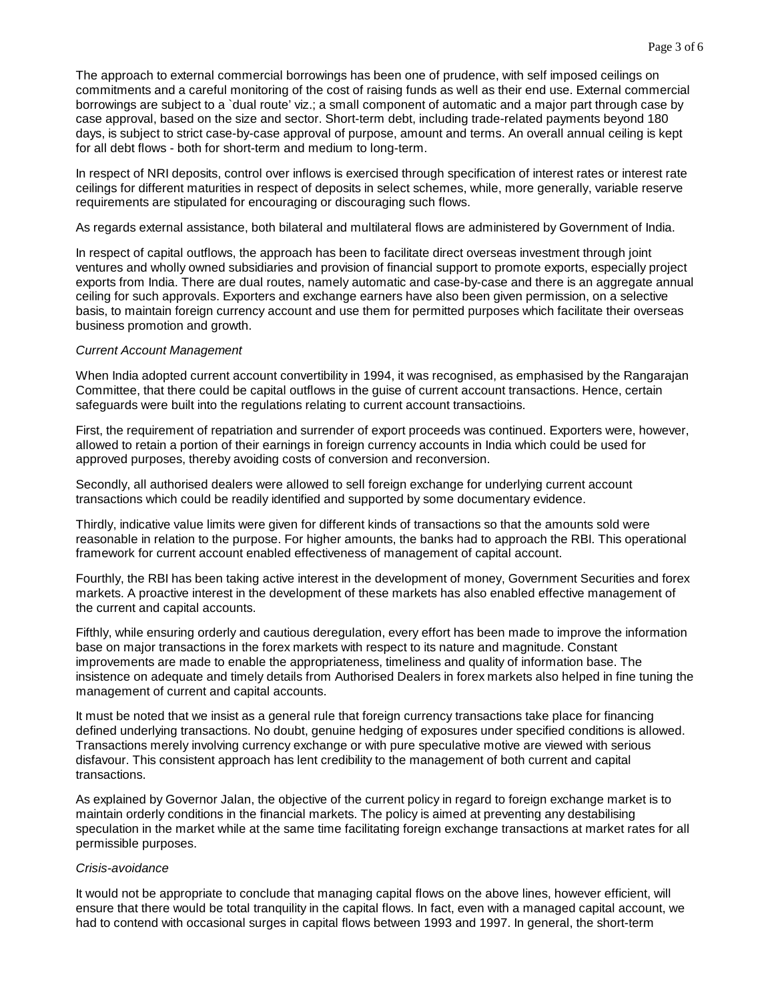The approach to external commercial borrowings has been one of prudence, with self imposed ceilings on commitments and a careful monitoring of the cost of raising funds as well as their end use. External commercial borrowings are subject to a `dual route' viz.; a small component of automatic and a major part through case by case approval, based on the size and sector. Short-term debt, including trade-related payments beyond 180 days, is subject to strict case-by-case approval of purpose, amount and terms. An overall annual ceiling is kept for all debt flows - both for short-term and medium to long-term.

In respect of NRI deposits, control over inflows is exercised through specification of interest rates or interest rate ceilings for different maturities in respect of deposits in select schemes, while, more generally, variable reserve requirements are stipulated for encouraging or discouraging such flows.

As regards external assistance, both bilateral and multilateral flows are administered by Government of India.

In respect of capital outflows, the approach has been to facilitate direct overseas investment through joint ventures and wholly owned subsidiaries and provision of financial support to promote exports, especially project exports from India. There are dual routes, namely automatic and case-by-case and there is an aggregate annual ceiling for such approvals. Exporters and exchange earners have also been given permission, on a selective basis, to maintain foreign currency account and use them for permitted purposes which facilitate their overseas business promotion and growth.

#### *Current Account Management*

When India adopted current account convertibility in 1994, it was recognised, as emphasised by the Rangarajan Committee, that there could be capital outflows in the guise of current account transactions. Hence, certain safeguards were built into the regulations relating to current account transactioins.

First, the requirement of repatriation and surrender of export proceeds was continued. Exporters were, however, allowed to retain a portion of their earnings in foreign currency accounts in India which could be used for approved purposes, thereby avoiding costs of conversion and reconversion.

Secondly, all authorised dealers were allowed to sell foreign exchange for underlying current account transactions which could be readily identified and supported by some documentary evidence.

Thirdly, indicative value limits were given for different kinds of transactions so that the amounts sold were reasonable in relation to the purpose. For higher amounts, the banks had to approach the RBI. This operational framework for current account enabled effectiveness of management of capital account.

Fourthly, the RBI has been taking active interest in the development of money, Government Securities and forex markets. A proactive interest in the development of these markets has also enabled effective management of the current and capital accounts.

Fifthly, while ensuring orderly and cautious deregulation, every effort has been made to improve the information base on major transactions in the forex markets with respect to its nature and magnitude. Constant improvements are made to enable the appropriateness, timeliness and quality of information base. The insistence on adequate and timely details from Authorised Dealers in forex markets also helped in fine tuning the management of current and capital accounts.

It must be noted that we insist as a general rule that foreign currency transactions take place for financing defined underlying transactions. No doubt, genuine hedging of exposures under specified conditions is allowed. Transactions merely involving currency exchange or with pure speculative motive are viewed with serious disfavour. This consistent approach has lent credibility to the management of both current and capital transactions.

As explained by Governor Jalan, the objective of the current policy in regard to foreign exchange market is to maintain orderly conditions in the financial markets. The policy is aimed at preventing any destabilising speculation in the market while at the same time facilitating foreign exchange transactions at market rates for all permissible purposes.

## *Crisis-avoidance*

It would not be appropriate to conclude that managing capital flows on the above lines, however efficient, will ensure that there would be total tranquility in the capital flows. In fact, even with a managed capital account, we had to contend with occasional surges in capital flows between 1993 and 1997. In general, the short-term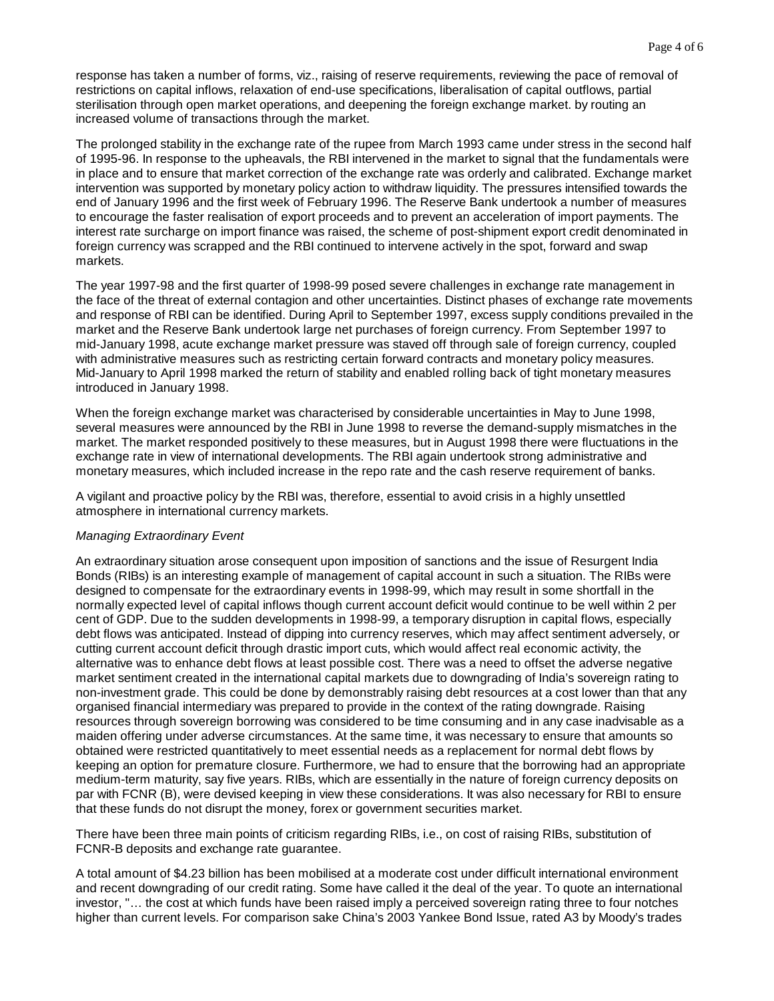response has taken a number of forms, viz., raising of reserve requirements, reviewing the pace of removal of restrictions on capital inflows, relaxation of end-use specifications, liberalisation of capital outflows, partial sterilisation through open market operations, and deepening the foreign exchange market. by routing an increased volume of transactions through the market.

The prolonged stability in the exchange rate of the rupee from March 1993 came under stress in the second half of 1995-96. In response to the upheavals, the RBI intervened in the market to signal that the fundamentals were in place and to ensure that market correction of the exchange rate was orderly and calibrated. Exchange market intervention was supported by monetary policy action to withdraw liquidity. The pressures intensified towards the end of January 1996 and the first week of February 1996. The Reserve Bank undertook a number of measures to encourage the faster realisation of export proceeds and to prevent an acceleration of import payments. The interest rate surcharge on import finance was raised, the scheme of post-shipment export credit denominated in foreign currency was scrapped and the RBI continued to intervene actively in the spot, forward and swap markets.

The year 1997-98 and the first quarter of 1998-99 posed severe challenges in exchange rate management in the face of the threat of external contagion and other uncertainties. Distinct phases of exchange rate movements and response of RBI can be identified. During April to September 1997, excess supply conditions prevailed in the market and the Reserve Bank undertook large net purchases of foreign currency. From September 1997 to mid-January 1998, acute exchange market pressure was staved off through sale of foreign currency, coupled with administrative measures such as restricting certain forward contracts and monetary policy measures. Mid-January to April 1998 marked the return of stability and enabled rolling back of tight monetary measures introduced in January 1998.

When the foreign exchange market was characterised by considerable uncertainties in May to June 1998, several measures were announced by the RBI in June 1998 to reverse the demand-supply mismatches in the market. The market responded positively to these measures, but in August 1998 there were fluctuations in the exchange rate in view of international developments. The RBI again undertook strong administrative and monetary measures, which included increase in the repo rate and the cash reserve requirement of banks.

A vigilant and proactive policy by the RBI was, therefore, essential to avoid crisis in a highly unsettled atmosphere in international currency markets.

# *Managing Extraordinary Event*

An extraordinary situation arose consequent upon imposition of sanctions and the issue of Resurgent India Bonds (RIBs) is an interesting example of management of capital account in such a situation. The RIBs were designed to compensate for the extraordinary events in 1998-99, which may result in some shortfall in the normally expected level of capital inflows though current account deficit would continue to be well within 2 per cent of GDP. Due to the sudden developments in 1998-99, a temporary disruption in capital flows, especially debt flows was anticipated. Instead of dipping into currency reserves, which may affect sentiment adversely, or cutting current account deficit through drastic import cuts, which would affect real economic activity, the alternative was to enhance debt flows at least possible cost. There was a need to offset the adverse negative market sentiment created in the international capital markets due to downgrading of India's sovereign rating to non-investment grade. This could be done by demonstrably raising debt resources at a cost lower than that any organised financial intermediary was prepared to provide in the context of the rating downgrade. Raising resources through sovereign borrowing was considered to be time consuming and in any case inadvisable as a maiden offering under adverse circumstances. At the same time, it was necessary to ensure that amounts so obtained were restricted quantitatively to meet essential needs as a replacement for normal debt flows by keeping an option for premature closure. Furthermore, we had to ensure that the borrowing had an appropriate medium-term maturity, say five years. RIBs, which are essentially in the nature of foreign currency deposits on par with FCNR (B), were devised keeping in view these considerations. It was also necessary for RBI to ensure that these funds do not disrupt the money, forex or government securities market.

There have been three main points of criticism regarding RIBs, i.e., on cost of raising RIBs, substitution of FCNR-B deposits and exchange rate guarantee.

A total amount of \$4.23 billion has been mobilised at a moderate cost under difficult international environment and recent downgrading of our credit rating. Some have called it the deal of the year. To quote an international investor, "… the cost at which funds have been raised imply a perceived sovereign rating three to four notches higher than current levels. For comparison sake China's 2003 Yankee Bond Issue, rated A3 by Moody's trades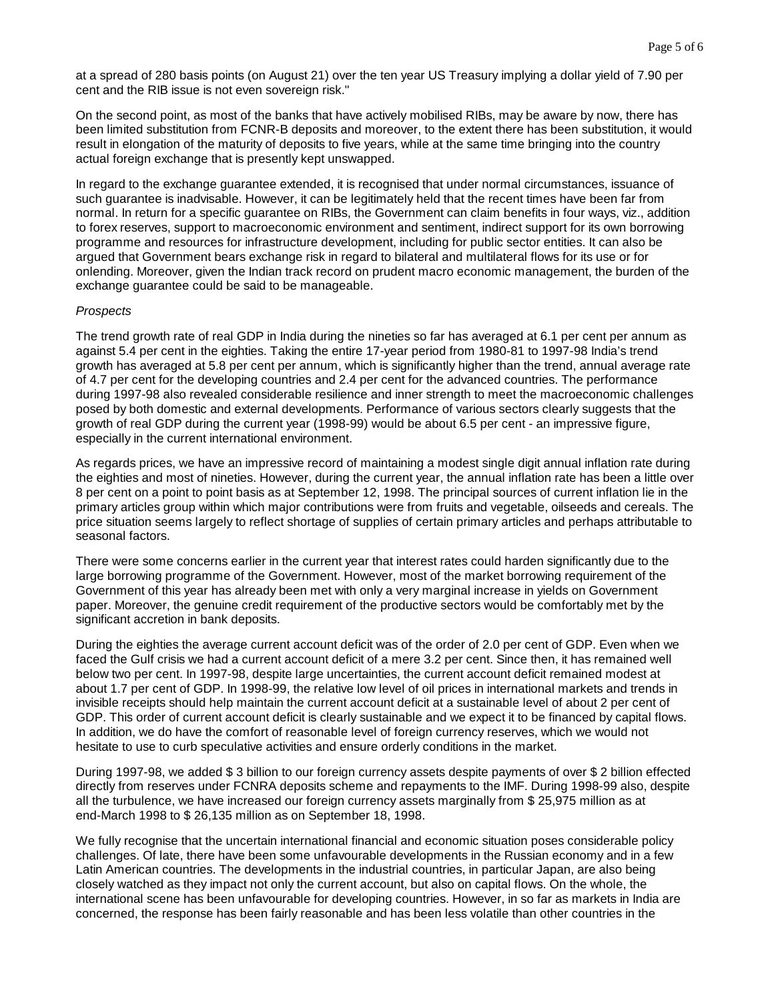at a spread of 280 basis points (on August 21) over the ten year US Treasury implying a dollar yield of 7.90 per cent and the RIB issue is not even sovereign risk."

On the second point, as most of the banks that have actively mobilised RIBs, may be aware by now, there has been limited substitution from FCNR-B deposits and moreover, to the extent there has been substitution, it would result in elongation of the maturity of deposits to five years, while at the same time bringing into the country actual foreign exchange that is presently kept unswapped.

In regard to the exchange guarantee extended, it is recognised that under normal circumstances, issuance of such guarantee is inadvisable. However, it can be legitimately held that the recent times have been far from normal. In return for a specific guarantee on RIBs, the Government can claim benefits in four ways, viz., addition to forex reserves, support to macroeconomic environment and sentiment, indirect support for its own borrowing programme and resources for infrastructure development, including for public sector entities. It can also be argued that Government bears exchange risk in regard to bilateral and multilateral flows for its use or for onlending. Moreover, given the Indian track record on prudent macro economic management, the burden of the exchange guarantee could be said to be manageable.

## *Prospects*

The trend growth rate of real GDP in India during the nineties so far has averaged at 6.1 per cent per annum as against 5.4 per cent in the eighties. Taking the entire 17-year period from 1980-81 to 1997-98 India's trend growth has averaged at 5.8 per cent per annum, which is significantly higher than the trend, annual average rate of 4.7 per cent for the developing countries and 2.4 per cent for the advanced countries. The performance during 1997-98 also revealed considerable resilience and inner strength to meet the macroeconomic challenges posed by both domestic and external developments. Performance of various sectors clearly suggests that the growth of real GDP during the current year (1998-99) would be about 6.5 per cent - an impressive figure, especially in the current international environment.

As regards prices, we have an impressive record of maintaining a modest single digit annual inflation rate during the eighties and most of nineties. However, during the current year, the annual inflation rate has been a little over 8 per cent on a point to point basis as at September 12, 1998. The principal sources of current inflation lie in the primary articles group within which major contributions were from fruits and vegetable, oilseeds and cereals. The price situation seems largely to reflect shortage of supplies of certain primary articles and perhaps attributable to seasonal factors.

There were some concerns earlier in the current year that interest rates could harden significantly due to the large borrowing programme of the Government. However, most of the market borrowing requirement of the Government of this year has already been met with only a very marginal increase in yields on Government paper. Moreover, the genuine credit requirement of the productive sectors would be comfortably met by the significant accretion in bank deposits.

During the eighties the average current account deficit was of the order of 2.0 per cent of GDP. Even when we faced the Gulf crisis we had a current account deficit of a mere 3.2 per cent. Since then, it has remained well below two per cent. In 1997-98, despite large uncertainties, the current account deficit remained modest at about 1.7 per cent of GDP. In 1998-99, the relative low level of oil prices in international markets and trends in invisible receipts should help maintain the current account deficit at a sustainable level of about 2 per cent of GDP. This order of current account deficit is clearly sustainable and we expect it to be financed by capital flows. In addition, we do have the comfort of reasonable level of foreign currency reserves, which we would not hesitate to use to curb speculative activities and ensure orderly conditions in the market.

During 1997-98, we added \$ 3 billion to our foreign currency assets despite payments of over \$ 2 billion effected directly from reserves under FCNRA deposits scheme and repayments to the IMF. During 1998-99 also, despite all the turbulence, we have increased our foreign currency assets marginally from \$ 25,975 million as at end-March 1998 to \$ 26,135 million as on September 18, 1998.

We fully recognise that the uncertain international financial and economic situation poses considerable policy challenges. Of late, there have been some unfavourable developments in the Russian economy and in a few Latin American countries. The developments in the industrial countries, in particular Japan, are also being closely watched as they impact not only the current account, but also on capital flows. On the whole, the international scene has been unfavourable for developing countries. However, in so far as markets in India are concerned, the response has been fairly reasonable and has been less volatile than other countries in the